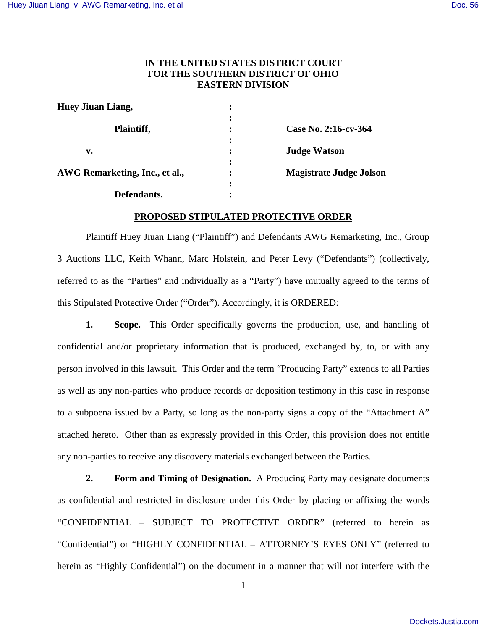# **IN THE UNITED STATES DISTRICT COURT FOR THE SOUTHERN DISTRICT OF OHIO EASTERN DIVISION**

| <b>Huey Jiuan Liang,</b>       |                             |                                |
|--------------------------------|-----------------------------|--------------------------------|
| Plaintiff,                     | ٠<br>٠<br>٠                 | Case No. 2:16-cv-364           |
| v.                             | $\bullet$<br>$\bullet$<br>٠ | <b>Judge Watson</b>            |
| AWG Remarketing, Inc., et al., | ٠<br>$\bullet$<br>$\bullet$ | <b>Magistrate Judge Jolson</b> |
| Defendants.                    | ٠                           |                                |

# **PROPOSED STIPULATED PROTECTIVE ORDER**

Plaintiff Huey Jiuan Liang ("Plaintiff") and Defendants AWG Remarketing, Inc., Group 3 Auctions LLC, Keith Whann, Marc Holstein, and Peter Levy ("Defendants") (collectively, referred to as the "Parties" and individually as a "Party") have mutually agreed to the terms of this Stipulated Protective Order ("Order"). Accordingly, it is ORDERED:

**1. Scope.** This Order specifically governs the production, use, and handling of confidential and/or proprietary information that is produced, exchanged by, to, or with any person involved in this lawsuit. This Order and the term "Producing Party" extends to all Parties as well as any non-parties who produce records or deposition testimony in this case in response to a subpoena issued by a Party, so long as the non-party signs a copy of the "Attachment A" attached hereto. Other than as expressly provided in this Order, this provision does not entitle any non-parties to receive any discovery materials exchanged between the Parties.

**2. Form and Timing of Designation.** A Producing Party may designate documents as confidential and restricted in disclosure under this Order by placing or affixing the words "CONFIDENTIAL – SUBJECT TO PROTECTIVE ORDER" (referred to herein as "Confidential") or "HIGHLY CONFIDENTIAL – ATTORNEY'S EYES ONLY" (referred to herein as "Highly Confidential") on the document in a manner that will not interfere with the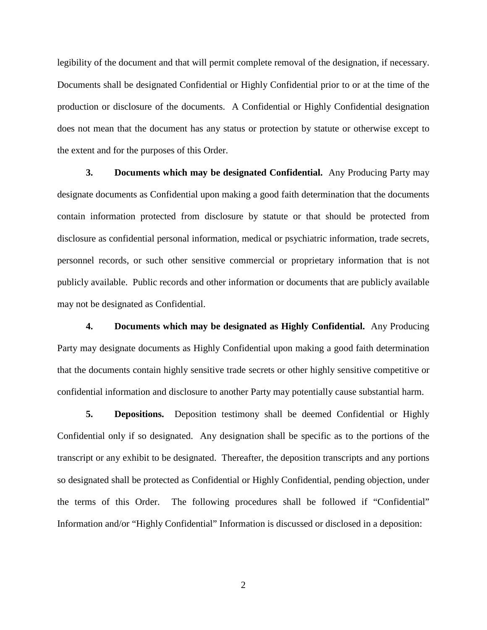legibility of the document and that will permit complete removal of the designation, if necessary. Documents shall be designated Confidential or Highly Confidential prior to or at the time of the production or disclosure of the documents. A Confidential or Highly Confidential designation does not mean that the document has any status or protection by statute or otherwise except to the extent and for the purposes of this Order.

**3. Documents which may be designated Confidential.** Any Producing Party may designate documents as Confidential upon making a good faith determination that the documents contain information protected from disclosure by statute or that should be protected from disclosure as confidential personal information, medical or psychiatric information, trade secrets, personnel records, or such other sensitive commercial or proprietary information that is not publicly available. Public records and other information or documents that are publicly available may not be designated as Confidential.

**4. Documents which may be designated as Highly Confidential.** Any Producing Party may designate documents as Highly Confidential upon making a good faith determination that the documents contain highly sensitive trade secrets or other highly sensitive competitive or confidential information and disclosure to another Party may potentially cause substantial harm.

**5. Depositions.** Deposition testimony shall be deemed Confidential or Highly Confidential only if so designated. Any designation shall be specific as to the portions of the transcript or any exhibit to be designated. Thereafter, the deposition transcripts and any portions so designated shall be protected as Confidential or Highly Confidential, pending objection, under the terms of this Order. The following procedures shall be followed if "Confidential" Information and/or "Highly Confidential" Information is discussed or disclosed in a deposition:

2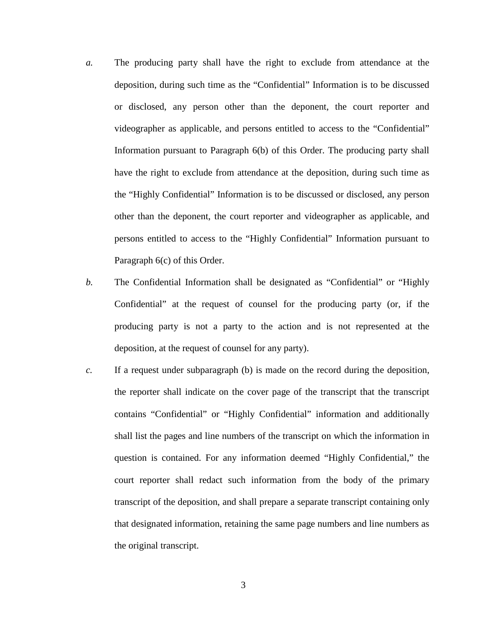- *a.* The producing party shall have the right to exclude from attendance at the deposition, during such time as the "Confidential" Information is to be discussed or disclosed, any person other than the deponent, the court reporter and videographer as applicable, and persons entitled to access to the "Confidential" Information pursuant to Paragraph 6(b) of this Order. The producing party shall have the right to exclude from attendance at the deposition, during such time as the "Highly Confidential" Information is to be discussed or disclosed, any person other than the deponent, the court reporter and videographer as applicable, and persons entitled to access to the "Highly Confidential" Information pursuant to Paragraph 6(c) of this Order.
- *b.* The Confidential Information shall be designated as "Confidential" or "Highly Confidential" at the request of counsel for the producing party (or, if the producing party is not a party to the action and is not represented at the deposition, at the request of counsel for any party).
- *c.* If a request under subparagraph (b) is made on the record during the deposition, the reporter shall indicate on the cover page of the transcript that the transcript contains "Confidential" or "Highly Confidential" information and additionally shall list the pages and line numbers of the transcript on which the information in question is contained. For any information deemed "Highly Confidential," the court reporter shall redact such information from the body of the primary transcript of the deposition, and shall prepare a separate transcript containing only that designated information, retaining the same page numbers and line numbers as the original transcript.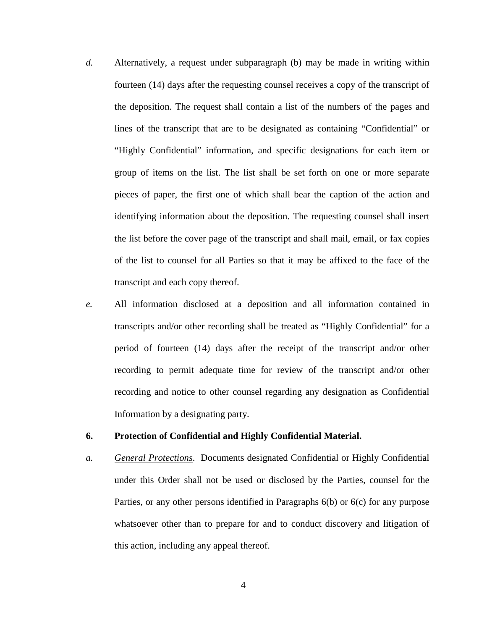- *d.* Alternatively, a request under subparagraph (b) may be made in writing within fourteen (14) days after the requesting counsel receives a copy of the transcript of the deposition. The request shall contain a list of the numbers of the pages and lines of the transcript that are to be designated as containing "Confidential" or "Highly Confidential" information, and specific designations for each item or group of items on the list. The list shall be set forth on one or more separate pieces of paper, the first one of which shall bear the caption of the action and identifying information about the deposition. The requesting counsel shall insert the list before the cover page of the transcript and shall mail, email, or fax copies of the list to counsel for all Parties so that it may be affixed to the face of the transcript and each copy thereof.
- *e.* All information disclosed at a deposition and all information contained in transcripts and/or other recording shall be treated as "Highly Confidential" for a period of fourteen (14) days after the receipt of the transcript and/or other recording to permit adequate time for review of the transcript and/or other recording and notice to other counsel regarding any designation as Confidential Information by a designating party.

## **6. Protection of Confidential and Highly Confidential Material.**

*a. General Protections*. Documents designated Confidential or Highly Confidential under this Order shall not be used or disclosed by the Parties, counsel for the Parties, or any other persons identified in Paragraphs 6(b) or 6(c) for any purpose whatsoever other than to prepare for and to conduct discovery and litigation of this action, including any appeal thereof.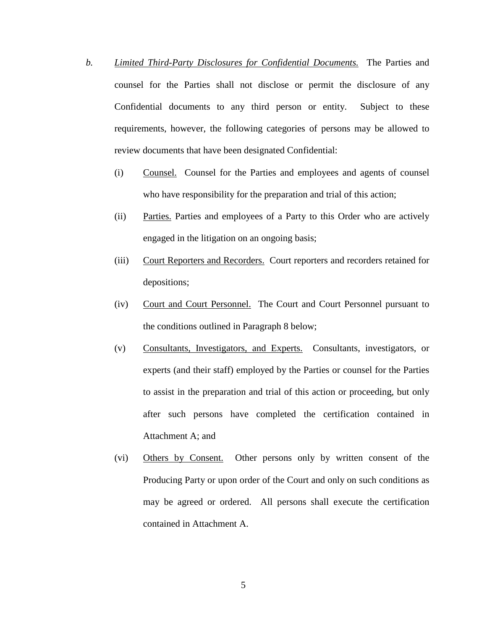- *b. Limited Third-Party Disclosures for Confidential Documents.* The Parties and counsel for the Parties shall not disclose or permit the disclosure of any Confidential documents to any third person or entity. Subject to these requirements, however, the following categories of persons may be allowed to review documents that have been designated Confidential:
	- (i) Counsel. Counsel for the Parties and employees and agents of counsel who have responsibility for the preparation and trial of this action;
	- (ii) Parties. Parties and employees of a Party to this Order who are actively engaged in the litigation on an ongoing basis;
	- (iii) Court Reporters and Recorders. Court reporters and recorders retained for depositions;
	- (iv) Court and Court Personnel. The Court and Court Personnel pursuant to the conditions outlined in Paragraph 8 below;
	- (v) Consultants, Investigators, and Experts. Consultants, investigators, or experts (and their staff) employed by the Parties or counsel for the Parties to assist in the preparation and trial of this action or proceeding, but only after such persons have completed the certification contained in Attachment A; and
	- (vi) Others by Consent. Other persons only by written consent of the Producing Party or upon order of the Court and only on such conditions as may be agreed or ordered. All persons shall execute the certification contained in Attachment A.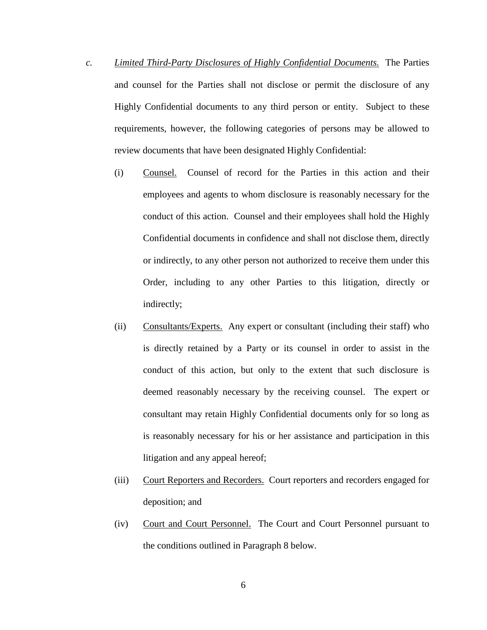- *c. Limited Third-Party Disclosures of Highly Confidential Documents.* The Parties and counsel for the Parties shall not disclose or permit the disclosure of any Highly Confidential documents to any third person or entity. Subject to these requirements, however, the following categories of persons may be allowed to review documents that have been designated Highly Confidential:
	- (i) Counsel. Counsel of record for the Parties in this action and their employees and agents to whom disclosure is reasonably necessary for the conduct of this action. Counsel and their employees shall hold the Highly Confidential documents in confidence and shall not disclose them, directly or indirectly, to any other person not authorized to receive them under this Order, including to any other Parties to this litigation, directly or indirectly;
	- (ii) Consultants/Experts. Any expert or consultant (including their staff) who is directly retained by a Party or its counsel in order to assist in the conduct of this action, but only to the extent that such disclosure is deemed reasonably necessary by the receiving counsel. The expert or consultant may retain Highly Confidential documents only for so long as is reasonably necessary for his or her assistance and participation in this litigation and any appeal hereof;
	- (iii) Court Reporters and Recorders. Court reporters and recorders engaged for deposition; and
	- (iv) Court and Court Personnel. The Court and Court Personnel pursuant to the conditions outlined in Paragraph 8 below.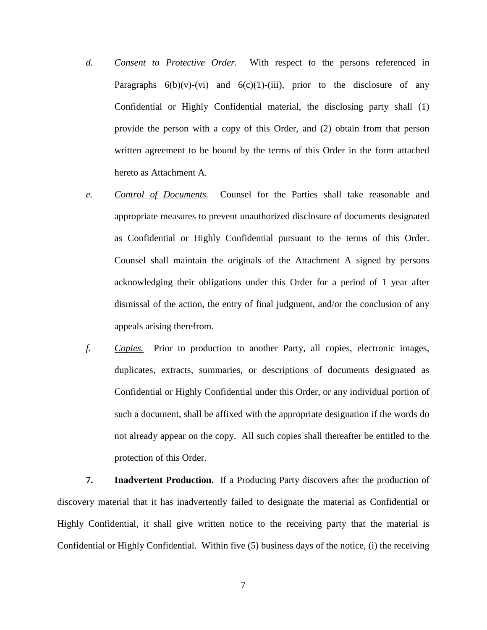- *d. Consent to Protective Order.* With respect to the persons referenced in Paragraphs  $6(b)(v)-(vi)$  and  $6(c)(1)-(iii)$ , prior to the disclosure of any Confidential or Highly Confidential material, the disclosing party shall (1) provide the person with a copy of this Order, and (2) obtain from that person written agreement to be bound by the terms of this Order in the form attached hereto as Attachment A.
- *e. Control of Documents.*Counsel for the Parties shall take reasonable and appropriate measures to prevent unauthorized disclosure of documents designated as Confidential or Highly Confidential pursuant to the terms of this Order. Counsel shall maintain the originals of the Attachment A signed by persons acknowledging their obligations under this Order for a period of 1 year after dismissal of the action, the entry of final judgment, and/or the conclusion of any appeals arising therefrom.
- *f. Copies.* Prior to production to another Party, all copies, electronic images, duplicates, extracts, summaries, or descriptions of documents designated as Confidential or Highly Confidential under this Order, or any individual portion of such a document, shall be affixed with the appropriate designation if the words do not already appear on the copy. All such copies shall thereafter be entitled to the protection of this Order.

**7. Inadvertent Production.** If a Producing Party discovers after the production of discovery material that it has inadvertently failed to designate the material as Confidential or Highly Confidential, it shall give written notice to the receiving party that the material is Confidential or Highly Confidential. Within five (5) business days of the notice, (i) the receiving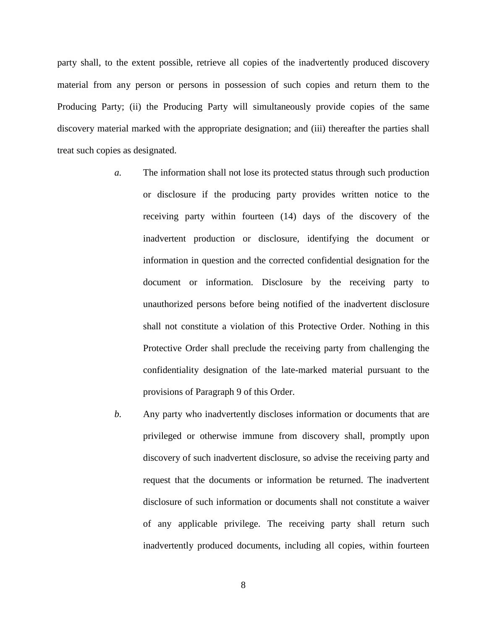party shall, to the extent possible, retrieve all copies of the inadvertently produced discovery material from any person or persons in possession of such copies and return them to the Producing Party; (ii) the Producing Party will simultaneously provide copies of the same discovery material marked with the appropriate designation; and (iii) thereafter the parties shall treat such copies as designated.

- *a.* The information shall not lose its protected status through such production or disclosure if the producing party provides written notice to the receiving party within fourteen (14) days of the discovery of the inadvertent production or disclosure, identifying the document or information in question and the corrected confidential designation for the document or information. Disclosure by the receiving party to unauthorized persons before being notified of the inadvertent disclosure shall not constitute a violation of this Protective Order. Nothing in this Protective Order shall preclude the receiving party from challenging the confidentiality designation of the late-marked material pursuant to the provisions of Paragraph 9 of this Order.
- *b.* Any party who inadvertently discloses information or documents that are privileged or otherwise immune from discovery shall, promptly upon discovery of such inadvertent disclosure, so advise the receiving party and request that the documents or information be returned. The inadvertent disclosure of such information or documents shall not constitute a waiver of any applicable privilege. The receiving party shall return such inadvertently produced documents, including all copies, within fourteen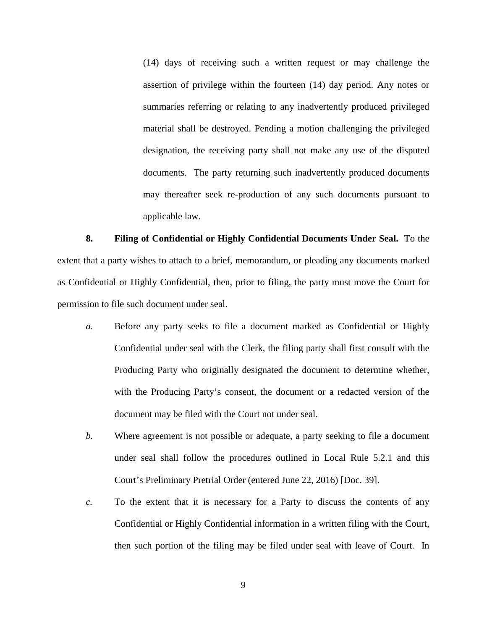(14) days of receiving such a written request or may challenge the assertion of privilege within the fourteen (14) day period. Any notes or summaries referring or relating to any inadvertently produced privileged material shall be destroyed. Pending a motion challenging the privileged designation, the receiving party shall not make any use of the disputed documents. The party returning such inadvertently produced documents may thereafter seek re-production of any such documents pursuant to applicable law.

**8. Filing of Confidential or Highly Confidential Documents Under Seal.** To the extent that a party wishes to attach to a brief, memorandum, or pleading any documents marked as Confidential or Highly Confidential, then, prior to filing, the party must move the Court for permission to file such document under seal.

- *a.* Before any party seeks to file a document marked as Confidential or Highly Confidential under seal with the Clerk, the filing party shall first consult with the Producing Party who originally designated the document to determine whether, with the Producing Party's consent, the document or a redacted version of the document may be filed with the Court not under seal.
- *b.* Where agreement is not possible or adequate, a party seeking to file a document under seal shall follow the procedures outlined in Local Rule 5.2.1 and this Court's Preliminary Pretrial Order (entered June 22, 2016) [Doc. 39].
- *c.* To the extent that it is necessary for a Party to discuss the contents of any Confidential or Highly Confidential information in a written filing with the Court, then such portion of the filing may be filed under seal with leave of Court. In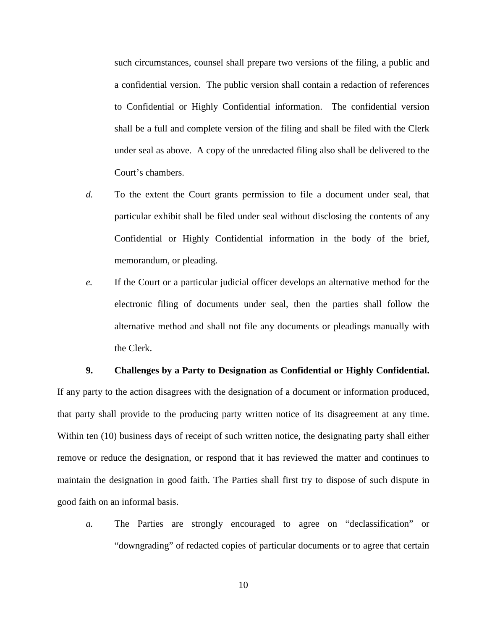such circumstances, counsel shall prepare two versions of the filing, a public and a confidential version. The public version shall contain a redaction of references to Confidential or Highly Confidential information. The confidential version shall be a full and complete version of the filing and shall be filed with the Clerk under seal as above. A copy of the unredacted filing also shall be delivered to the Court's chambers.

- *d.* To the extent the Court grants permission to file a document under seal, that particular exhibit shall be filed under seal without disclosing the contents of any Confidential or Highly Confidential information in the body of the brief, memorandum, or pleading.
- *e.* If the Court or a particular judicial officer develops an alternative method for the electronic filing of documents under seal, then the parties shall follow the alternative method and shall not file any documents or pleadings manually with the Clerk.

#### **9. Challenges by a Party to Designation as Confidential or Highly Confidential.**

If any party to the action disagrees with the designation of a document or information produced, that party shall provide to the producing party written notice of its disagreement at any time. Within ten (10) business days of receipt of such written notice, the designating party shall either remove or reduce the designation, or respond that it has reviewed the matter and continues to maintain the designation in good faith. The Parties shall first try to dispose of such dispute in good faith on an informal basis.

*a.* The Parties are strongly encouraged to agree on "declassification" or "downgrading" of redacted copies of particular documents or to agree that certain

10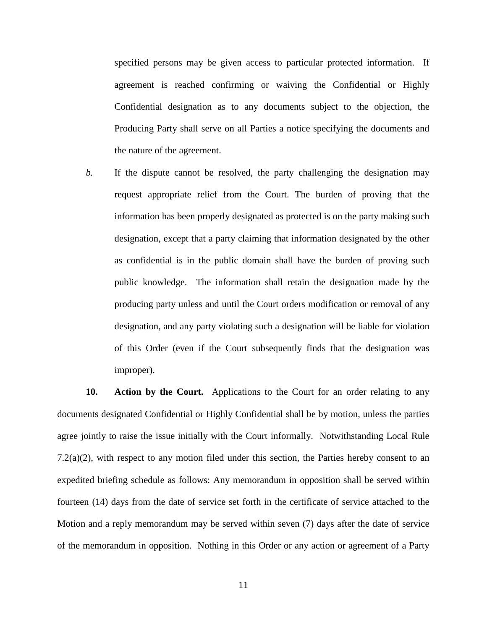specified persons may be given access to particular protected information. If agreement is reached confirming or waiving the Confidential or Highly Confidential designation as to any documents subject to the objection, the Producing Party shall serve on all Parties a notice specifying the documents and the nature of the agreement.

*b.* If the dispute cannot be resolved, the party challenging the designation may request appropriate relief from the Court. The burden of proving that the information has been properly designated as protected is on the party making such designation, except that a party claiming that information designated by the other as confidential is in the public domain shall have the burden of proving such public knowledge. The information shall retain the designation made by the producing party unless and until the Court orders modification or removal of any designation, and any party violating such a designation will be liable for violation of this Order (even if the Court subsequently finds that the designation was improper).

**10. Action by the Court.** Applications to the Court for an order relating to any documents designated Confidential or Highly Confidential shall be by motion, unless the parties agree jointly to raise the issue initially with the Court informally. Notwithstanding Local Rule 7.2(a)(2), with respect to any motion filed under this section, the Parties hereby consent to an expedited briefing schedule as follows: Any memorandum in opposition shall be served within fourteen (14) days from the date of service set forth in the certificate of service attached to the Motion and a reply memorandum may be served within seven (7) days after the date of service of the memorandum in opposition. Nothing in this Order or any action or agreement of a Party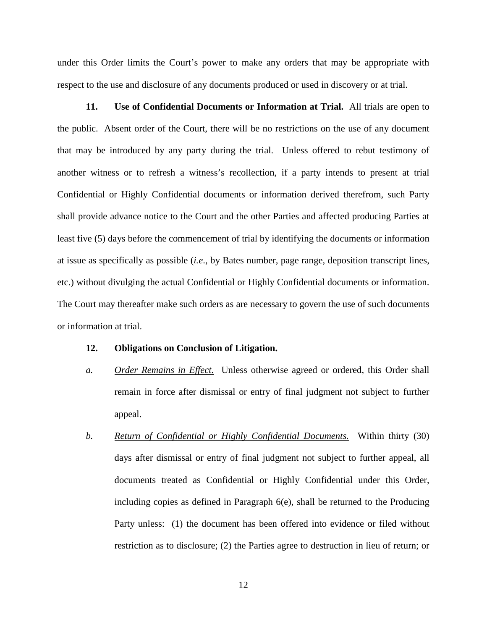under this Order limits the Court's power to make any orders that may be appropriate with respect to the use and disclosure of any documents produced or used in discovery or at trial.

**11. Use of Confidential Documents or Information at Trial.** All trials are open to the public. Absent order of the Court, there will be no restrictions on the use of any document that may be introduced by any party during the trial. Unless offered to rebut testimony of another witness or to refresh a witness's recollection, if a party intends to present at trial Confidential or Highly Confidential documents or information derived therefrom, such Party shall provide advance notice to the Court and the other Parties and affected producing Parties at least five (5) days before the commencement of trial by identifying the documents or information at issue as specifically as possible (*i.e*., by Bates number, page range, deposition transcript lines, etc.) without divulging the actual Confidential or Highly Confidential documents or information. The Court may thereafter make such orders as are necessary to govern the use of such documents or information at trial.

### **12. Obligations on Conclusion of Litigation.**

- *a. Order Remains in Effect.* Unless otherwise agreed or ordered, this Order shall remain in force after dismissal or entry of final judgment not subject to further appeal.
- *b. Return of Confidential or Highly Confidential Documents.* Within thirty (30) days after dismissal or entry of final judgment not subject to further appeal, all documents treated as Confidential or Highly Confidential under this Order, including copies as defined in Paragraph 6(e), shall be returned to the Producing Party unless: (1) the document has been offered into evidence or filed without restriction as to disclosure; (2) the Parties agree to destruction in lieu of return; or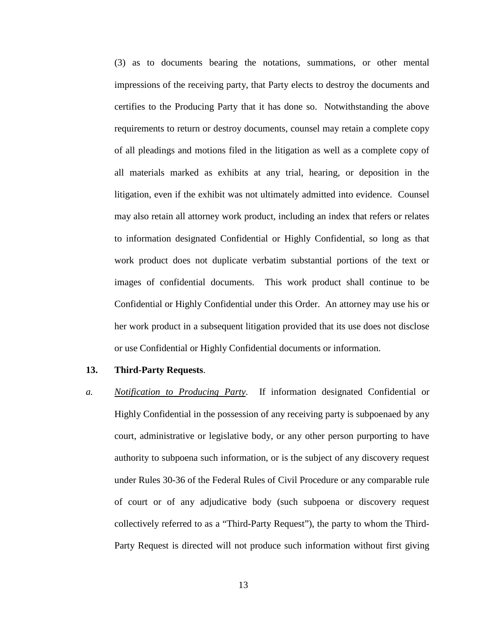(3) as to documents bearing the notations, summations, or other mental impressions of the receiving party, that Party elects to destroy the documents and certifies to the Producing Party that it has done so. Notwithstanding the above requirements to return or destroy documents, counsel may retain a complete copy of all pleadings and motions filed in the litigation as well as a complete copy of all materials marked as exhibits at any trial, hearing, or deposition in the litigation, even if the exhibit was not ultimately admitted into evidence. Counsel may also retain all attorney work product, including an index that refers or relates to information designated Confidential or Highly Confidential, so long as that work product does not duplicate verbatim substantial portions of the text or images of confidential documents. This work product shall continue to be Confidential or Highly Confidential under this Order. An attorney may use his or her work product in a subsequent litigation provided that its use does not disclose or use Confidential or Highly Confidential documents or information.

### **13. Third-Party Requests**.

*a. Notification to Producing Party*. If information designated Confidential or Highly Confidential in the possession of any receiving party is subpoenaed by any court, administrative or legislative body, or any other person purporting to have authority to subpoena such information, or is the subject of any discovery request under Rules 30-36 of the Federal Rules of Civil Procedure or any comparable rule of court or of any adjudicative body (such subpoena or discovery request collectively referred to as a "Third-Party Request"), the party to whom the Third-Party Request is directed will not produce such information without first giving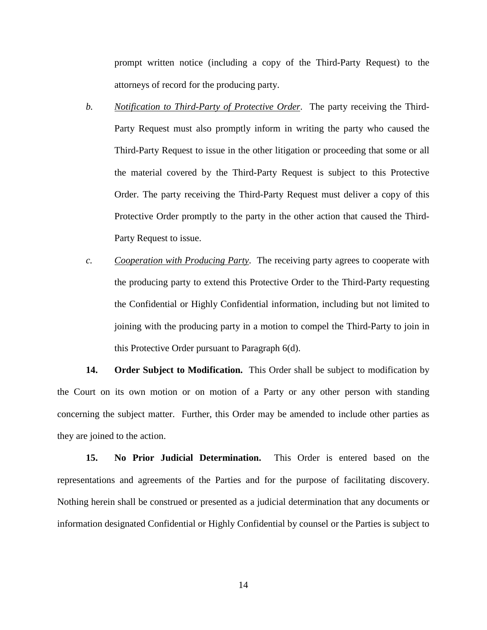prompt written notice (including a copy of the Third-Party Request) to the attorneys of record for the producing party.

- *b. Notification to Third-Party of Protective Order*. The party receiving the Third-Party Request must also promptly inform in writing the party who caused the Third-Party Request to issue in the other litigation or proceeding that some or all the material covered by the Third-Party Request is subject to this Protective Order. The party receiving the Third-Party Request must deliver a copy of this Protective Order promptly to the party in the other action that caused the Third-Party Request to issue.
- *c. Cooperation with Producing Party*. The receiving party agrees to cooperate with the producing party to extend this Protective Order to the Third-Party requesting the Confidential or Highly Confidential information, including but not limited to joining with the producing party in a motion to compel the Third-Party to join in this Protective Order pursuant to Paragraph 6(d).

**14. Order Subject to Modification.** This Order shall be subject to modification by the Court on its own motion or on motion of a Party or any other person with standing concerning the subject matter. Further, this Order may be amended to include other parties as they are joined to the action.

**15. No Prior Judicial Determination.** This Order is entered based on the representations and agreements of the Parties and for the purpose of facilitating discovery. Nothing herein shall be construed or presented as a judicial determination that any documents or information designated Confidential or Highly Confidential by counsel or the Parties is subject to